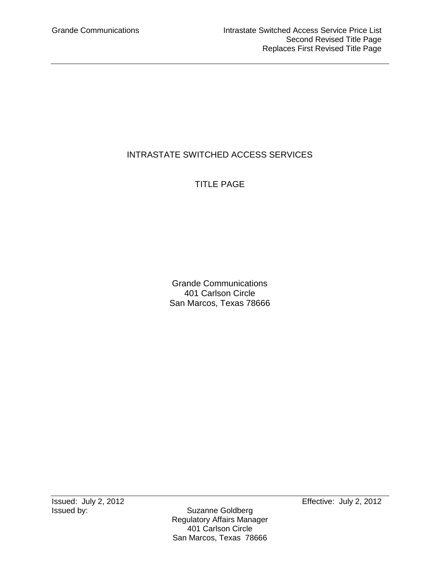# INTRASTATE SWITCHED ACCESS SERVICES

# TITLE PAGE

Grande Communications 401 Carlson Circle San Marcos, Texas 78666

Issued: July 2, 2012<br>Issued by: Suzanne Goldberg Effective: July 2, 2012

Suzanne Goldberg Regulatory Affairs Manager 401 Carlson Circle San Marcos, Texas 78666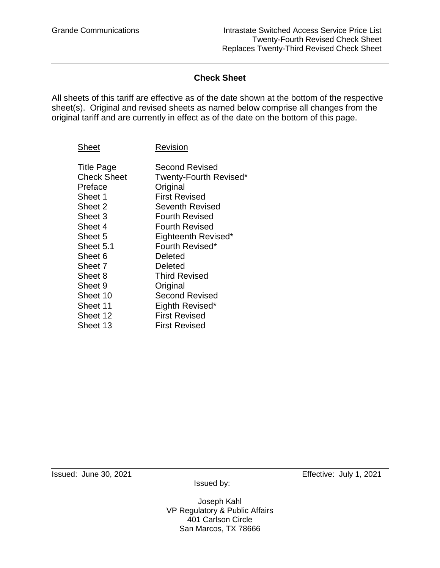## **Check Sheet**

All sheets of this tariff are effective as of the date shown at the bottom of the respective sheet(s). Original and revised sheets as named below comprise all changes from the original tariff and are currently in effect as of the date on the bottom of this page.

| Sheet              | Revision               |
|--------------------|------------------------|
| <b>Title Page</b>  | Second Revised         |
| <b>Check Sheet</b> | Twenty-Fourth Revised* |
| Preface            | Original               |
| Sheet 1            | <b>First Revised</b>   |
| Sheet 2            | <b>Seventh Revised</b> |
| Sheet 3            | <b>Fourth Revised</b>  |
| Sheet 4            | <b>Fourth Revised</b>  |
| Sheet 5            | Eighteenth Revised*    |
| Sheet 5.1          | Fourth Revised*        |
| Sheet 6            | Deleted                |
| Sheet 7            | Deleted                |
| Sheet 8            | <b>Third Revised</b>   |
| Sheet 9            | Original               |
| Sheet 10           | <b>Second Revised</b>  |
| Sheet 11           | Eighth Revised*        |
| Sheet 12           | First Revised          |
| Sheet 13           | First Revised          |
|                    |                        |

Issued: June 30, 2021 Effective: July 1, 2021

Joseph Kahl VP Regulatory & Public Affairs 401 Carlson Circle San Marcos, TX 78666

Issued by: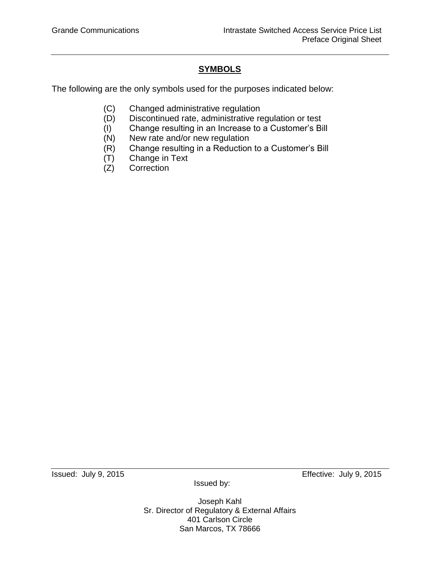# **SYMBOLS**

The following are the only symbols used for the purposes indicated below:

- (C) Changed administrative regulation
- (D) Discontinued rate, administrative regulation or test
- (I) Change resulting in an Increase to a Customer's Bill
- (N) New rate and/or new regulation
- (R) Change resulting in a Reduction to a Customer's Bill
- (T) Change in Text
- (Z) Correction

Issued: July 9, 2015 Effective: July 9, 2015

Issued by:

Joseph Kahl Sr. Director of Regulatory & External Affairs 401 Carlson Circle San Marcos, TX 78666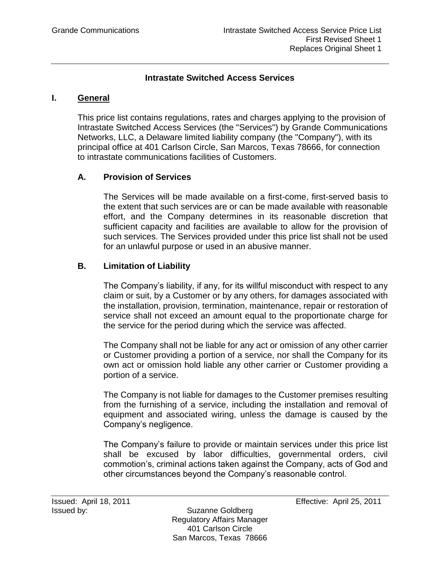## **Intrastate Switched Access Services**

### **I. General**

This price list contains regulations, rates and charges applying to the provision of Intrastate Switched Access Services (the "Services") by Grande Communications Networks, LLC, a Delaware limited liability company (the "Company"), with its principal office at 401 Carlson Circle, San Marcos, Texas 78666, for connection to intrastate communications facilities of Customers.

## **A. Provision of Services**

The Services will be made available on a first-come, first-served basis to the extent that such services are or can be made available with reasonable effort, and the Company determines in its reasonable discretion that sufficient capacity and facilities are available to allow for the provision of such services. The Services provided under this price list shall not be used for an unlawful purpose or used in an abusive manner.

## **B. Limitation of Liability**

The Company's liability, if any, for its willful misconduct with respect to any claim or suit, by a Customer or by any others, for damages associated with the installation, provision, termination, maintenance, repair or restoration of service shall not exceed an amount equal to the proportionate charge for the service for the period during which the service was affected.

The Company shall not be liable for any act or omission of any other carrier or Customer providing a portion of a service, nor shall the Company for its own act or omission hold liable any other carrier or Customer providing a portion of a service.

The Company is not liable for damages to the Customer premises resulting from the furnishing of a service, including the installation and removal of equipment and associated wiring, unless the damage is caused by the Company's negligence.

The Company's failure to provide or maintain services under this price list shall be excused by labor difficulties, governmental orders, civil commotion's, criminal actions taken against the Company, acts of God and other circumstances beyond the Company's reasonable control.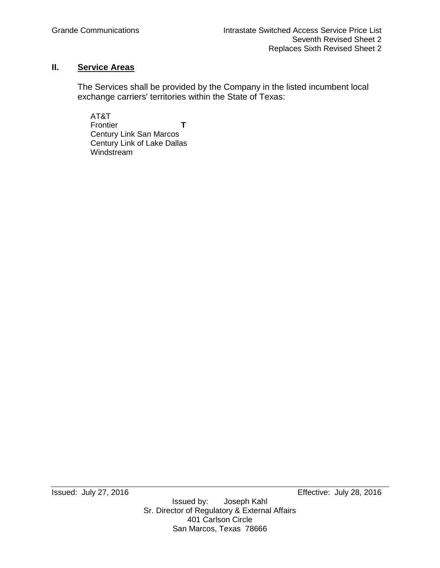## **II. Service Areas**

The Services shall be provided by the Company in the listed incumbent local exchange carriers' territories within the State of Texas:

AT&T Frontier **T** Century Link San Marcos Century Link of Lake Dallas Windstream

Issued: July 27, 2016 Effective: July 28, 2016 Joseph Kahl Sr. Director of Regulatory & External Affairs 401 Carlson Circle San Marcos, Texas 78666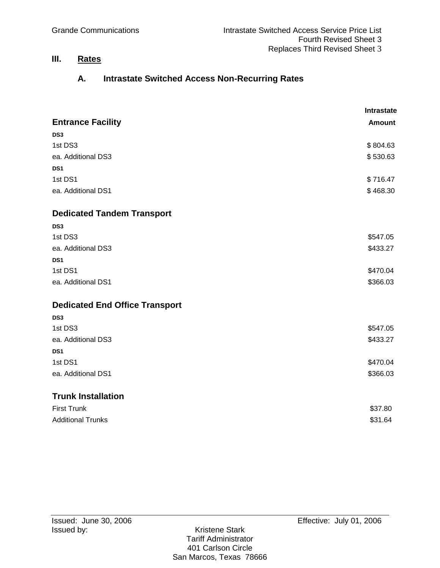# **III. Rates**

# **A. Intrastate Switched Access Non-Recurring Rates**

|                                       | Intrastate    |
|---------------------------------------|---------------|
| <b>Entrance Facility</b>              | <b>Amount</b> |
| DS <sub>3</sub>                       |               |
| 1st DS3                               | \$804.63      |
| ea. Additional DS3                    | \$530.63      |
| DS1                                   |               |
| 1st DS1                               | \$716.47      |
| ea. Additional DS1                    | \$468.30      |
| <b>Dedicated Tandem Transport</b>     |               |
| DS <sub>3</sub>                       |               |
| 1st DS3                               | \$547.05      |
| ea. Additional DS3                    | \$433.27      |
| DS1                                   |               |
| 1st DS1                               | \$470.04      |
| ea. Additional DS1                    | \$366.03      |
| <b>Dedicated End Office Transport</b> |               |
| DS <sub>3</sub>                       |               |
| 1st DS3                               | \$547.05      |
| ea. Additional DS3                    | \$433.27      |
| DS <sub>1</sub>                       |               |
| 1st DS1                               | \$470.04      |
| ea. Additional DS1                    | \$366.03      |
| <b>Trunk Installation</b>             |               |
| <b>First Trunk</b>                    | \$37.80       |
| <b>Additional Trunks</b>              | \$31.64       |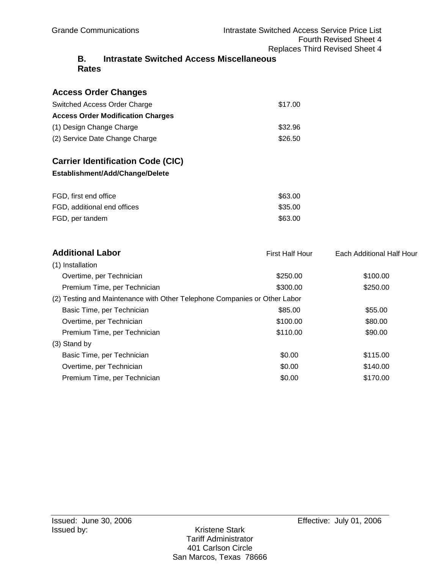### **B. Intrastate Switched Access Miscellaneous Rates**

## **Access Order Changes**

| Switched Access Order Charge             | \$17.00 |
|------------------------------------------|---------|
| <b>Access Order Modification Charges</b> |         |
| (1) Design Change Charge                 | \$32.96 |
| (2) Service Date Change Charge           | \$26.50 |

# **Carrier Identification Code (CIC)**

### **Establishment/Add/Change/Delete**

| FGD, first end office       | \$63.00 |
|-----------------------------|---------|
| FGD, additional end offices | \$35.00 |
| FGD, per tandem             | \$63.00 |

| <b>Additional Labor</b>                                                   | <b>First Half Hour</b> | Each Additional Half Hour |
|---------------------------------------------------------------------------|------------------------|---------------------------|
| (1) Installation                                                          |                        |                           |
| Overtime, per Technician                                                  | \$250.00               | \$100.00                  |
| Premium Time, per Technician                                              | \$300.00               | \$250.00                  |
| (2) Testing and Maintenance with Other Telephone Companies or Other Labor |                        |                           |
| Basic Time, per Technician                                                | \$85.00                | \$55.00                   |
| Overtime, per Technician                                                  | \$100.00               | \$80.00                   |
| Premium Time, per Technician                                              | \$110.00               | \$90.00                   |
| $(3)$ Stand by                                                            |                        |                           |
| Basic Time, per Technician                                                | \$0.00                 | \$115.00                  |
| Overtime, per Technician                                                  | \$0.00                 | \$140.00                  |
| Premium Time, per Technician                                              | \$0.00                 | \$170.00                  |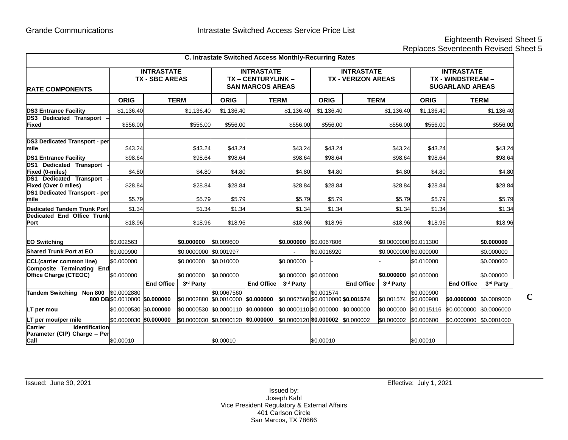# Eighteenth Revised Sheet 5

**C**

Replaces Seventeenth Revised Sheet 5

|                                                                                 |                                              |                   |                        | C. Intrastate Switched Access Monthly-Recurring Rates                  |                   |                                    |                                                |                   |                        |                                                                  |                         |            |
|---------------------------------------------------------------------------------|----------------------------------------------|-------------------|------------------------|------------------------------------------------------------------------|-------------------|------------------------------------|------------------------------------------------|-------------------|------------------------|------------------------------------------------------------------|-------------------------|------------|
| <b>IRATE COMPONENTS</b>                                                         | <b>INTRASTATE</b><br><b>TX - SBC AREAS</b>   |                   |                        | <b>INTRASTATE</b><br><b>TX-CENTURYLINK-</b><br><b>SAN MARCOS AREAS</b> |                   |                                    | <b>INTRASTATE</b><br><b>TX - VERIZON AREAS</b> |                   |                        | <b>INTRASTATE</b><br>TX - WINDSTREAM -<br><b>SUGARLAND AREAS</b> |                         |            |
|                                                                                 | <b>ORIG</b>                                  | <b>TERM</b>       |                        | <b>ORIG</b>                                                            | <b>TERM</b>       |                                    | <b>ORIG</b>                                    | <b>TERM</b>       |                        | <b>ORIG</b>                                                      | <b>TERM</b>             |            |
| <b>DS3 Entrance Facility</b>                                                    | \$1.136.40                                   |                   | \$1,136.40             | \$1,136.40                                                             |                   | \$1,136.40                         | \$1,136.40                                     |                   | \$1,136.40             | \$1,136.40                                                       |                         | \$1,136.40 |
| DS3 Dedicated Transport -<br>Fixed                                              | \$556.00                                     |                   | \$556.00               | \$556.00                                                               |                   | \$556.00                           | \$556.00                                       |                   | \$556.00               | \$556.00                                                         |                         | \$556.00   |
| <b>DS3 Dedicated Transport - per</b><br>Imile                                   | \$43.24                                      |                   | \$43.24                | \$43.24                                                                |                   | \$43.24                            | \$43.24                                        |                   | \$43.24                | \$43.24                                                          |                         | \$43.24    |
| <b>DS1 Entrance Facility</b>                                                    | \$98.64                                      |                   | \$98.64                | \$98.64                                                                |                   | \$98.64                            | \$98.64                                        |                   | \$98.64                | \$98.64                                                          |                         | \$98.64    |
| <b>DS1 Dedicated Transport</b><br><b>Fixed (0-miles)</b>                        | \$4.80                                       |                   | \$4.80                 | \$4.80                                                                 |                   | \$4.80                             | \$4.80                                         |                   | \$4.80                 | \$4.80                                                           |                         | \$4.80     |
| <b>DS1</b> Dedicated Transport<br><b>Fixed (Over 0 miles)</b>                   | \$28.84                                      |                   | \$28.84                | \$28.84                                                                |                   | \$28.84                            | \$28.84                                        |                   | \$28.84                | \$28.84                                                          |                         | \$28.84    |
| <b>DS1 Dedicated Transport - per</b><br>mile                                    | \$5.79                                       |                   | \$5.79                 | \$5.79                                                                 |                   | \$5.79                             | \$5.79                                         |                   | \$5.79                 | \$5.79                                                           |                         | \$5.79     |
| Dedicated Tandem Trunk Port                                                     | \$1.34                                       |                   | \$1.34                 | \$1.34                                                                 |                   | \$1.34                             | \$1.34                                         |                   | \$1.34                 | \$1.34                                                           |                         | \$1.34     |
| Dedicated End Office Trunk<br><b>Port</b>                                       | \$18.96                                      |                   | \$18.96                | \$18.96                                                                |                   | \$18.96                            | \$18.96                                        |                   | \$18.96                | \$18.96                                                          |                         | \$18.96    |
| <b>EO Switching</b>                                                             | \$0.002563                                   |                   | \$0.000000             | \$0.009600                                                             |                   | \$0.000000                         | \$0.0067806                                    |                   | \$0.0000000 \$0.011300 |                                                                  |                         | \$0.000000 |
| Shared Trunk Port at EO                                                         | \$0.000900                                   |                   | \$0.0000000 \$0.001997 |                                                                        |                   |                                    | \$0.0016920                                    |                   | \$0.0000000 \$0.000000 |                                                                  |                         | \$0.000000 |
| <b>CCL(carrier common line)</b>                                                 | \$0.000000                                   |                   | \$0.000000             | \$0.010000                                                             |                   | \$0.000000                         |                                                |                   | $\blacksquare$         | \$0.010000                                                       |                         | \$0.000000 |
| <b>Composite Terminating End</b><br><b>Office Charge (CTEOC)</b>                | \$0.000000                                   |                   | \$0.000000             | \$0.000000                                                             |                   | \$0.000000 \$0.000000              |                                                |                   | \$0.000000             | \$0.000000                                                       |                         | \$0.000000 |
|                                                                                 |                                              | <b>End Office</b> | 3rd Party              |                                                                        | <b>End Office</b> | 3rd Party                          |                                                | <b>End Office</b> | 3rd Party              |                                                                  | <b>End Office</b>       | 3rd Party  |
| <b>Tandem Switching</b><br><b>Non 800</b>                                       | \$0.0002880<br>800 DB \$0.0010000 \$0.000000 |                   |                        | \$0.0067560<br>\$0.0002880 \$0.0010000                                 | \$0.000000        | \$0.0067560 \$0.0010000 \$0.001574 | \$0.001574                                     |                   | \$0.001574             | \$0.000900<br>\$0.000900                                         | \$0.0000000 \$0.0009000 |            |
| LT per mou                                                                      | \$0.0000530 \$0.000000                       |                   |                        | \$0.0000530 \$0.0000110                                                | \$0.000000        | \$0.0000110 \$0.000000 \$0.000000  |                                                |                   | \$0.000000             | \$0.0015116                                                      | \$0.0000000 \$0.0006000 |            |
| LT per mou/per mile                                                             | \$0.0000030 \$0.000000                       |                   |                        | \$0.0000030 \$0.0000120                                                | \$0.000000        | \$0.0000120 \$0.000002 \$0.000002  |                                                |                   | \$0.000002             | \$0.000600                                                       | \$0.0000000 \$0.0001000 |            |
| <b>Carrier</b><br><b>Identification</b><br>Parameter (CIP) Charge - Per<br>Call | \$0.00010                                    |                   |                        | \$0.00010                                                              |                   |                                    | \$0.00010                                      |                   |                        | \$0.00010                                                        |                         |            |

Issued: June 30, 2021 Effective: July 1, 2021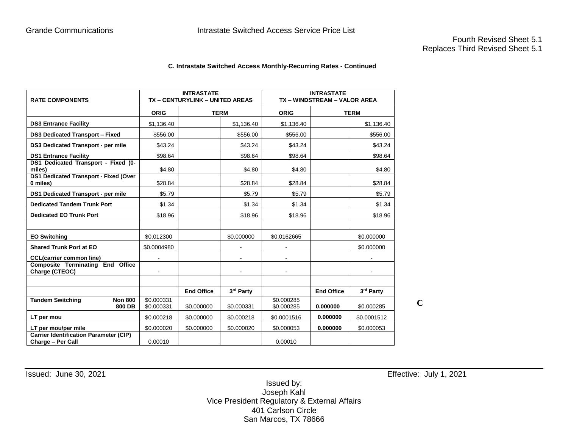#### **C. Intrastate Switched Access Monthly-Recurring Rates - Continued**

| <b>RATE COMPONENTS</b>                                             |                          | <b>INTRASTATE</b><br>TX - CENTURYLINK - UNITED AREAS |            | <b>INTRASTATE</b><br>TX - WINDSTREAM - VALOR AREA |                   |             |  |
|--------------------------------------------------------------------|--------------------------|------------------------------------------------------|------------|---------------------------------------------------|-------------------|-------------|--|
|                                                                    | <b>ORIG</b>              | <b>TERM</b>                                          |            | <b>ORIG</b>                                       | <b>TERM</b>       |             |  |
| <b>DS3 Entrance Facility</b>                                       | \$1,136.40               |                                                      | \$1,136.40 | \$1,136.40                                        |                   | \$1,136.40  |  |
| <b>DS3 Dedicated Transport - Fixed</b>                             | \$556.00                 |                                                      | \$556.00   | \$556.00                                          |                   | \$556.00    |  |
| <b>DS3 Dedicated Transport - per mile</b>                          | \$43.24                  |                                                      | \$43.24    | \$43.24                                           |                   | \$43.24     |  |
| <b>DS1 Entrance Facility</b>                                       | \$98.64                  |                                                      | \$98.64    | \$98.64                                           |                   | \$98.64     |  |
| DS1 Dedicated Transport - Fixed (0-<br>miles)                      | \$4.80                   |                                                      | \$4.80     | \$4.80                                            |                   | \$4.80      |  |
| <b>DS1 Dedicated Transport - Fixed (Over</b><br>0 miles)           | \$28.84                  |                                                      | \$28.84    | \$28.84                                           |                   | \$28.84     |  |
| DS1 Dedicated Transport - per mile                                 | \$5.79                   |                                                      | \$5.79     | \$5.79                                            |                   | \$5.79      |  |
| <b>Dedicated Tandem Trunk Port</b>                                 | \$1.34                   |                                                      | \$1.34     | \$1.34                                            |                   | \$1.34      |  |
| <b>Dedicated EO Trunk Port</b>                                     | \$18.96                  |                                                      | \$18.96    | \$18.96                                           |                   | \$18.96     |  |
|                                                                    |                          |                                                      |            |                                                   |                   |             |  |
| <b>EO Switching</b>                                                | \$0.012300               |                                                      | \$0.000000 | \$0.0162665                                       |                   | \$0.000000  |  |
| <b>Shared Trunk Port at EO</b>                                     | \$0.0004980              |                                                      |            |                                                   |                   | \$0.000000  |  |
| <b>CCL(carrier common line)</b>                                    | ۰                        |                                                      |            | ۰                                                 |                   |             |  |
| <b>Composite Terminating End Office</b><br>Charge (CTEOC)          |                          |                                                      |            |                                                   |                   |             |  |
|                                                                    |                          |                                                      |            |                                                   |                   |             |  |
|                                                                    |                          | <b>End Office</b>                                    | 3rd Party  |                                                   | <b>End Office</b> | 3rd Party   |  |
| <b>Tandem Switching</b><br><b>Non 800</b><br>800 DB                | \$0.000331<br>\$0.000331 | \$0.000000                                           | \$0.000331 | \$0.000285<br>\$0.000285                          | 0.000000          | \$0.000285  |  |
| LT per mou                                                         | \$0.000218               | \$0.000000                                           | \$0.000218 | \$0.0001516                                       | 0.000000          | \$0.0001512 |  |
| LT per mou/per mile                                                | \$0.000020               | \$0.000000                                           | \$0.000020 | \$0.000053                                        | 0.000000          | \$0.000053  |  |
| <b>Carrier Identification Parameter (CIP)</b><br>Charge - Per Call | 0.00010                  |                                                      |            | 0.00010                                           |                   |             |  |

Issued: June 30, 2021 Effective: July 1, 2021

**C**

Issued by: Joseph Kahl Vice President Regulatory & External Affairs 401 Carlson Circle San Marcos, TX 78666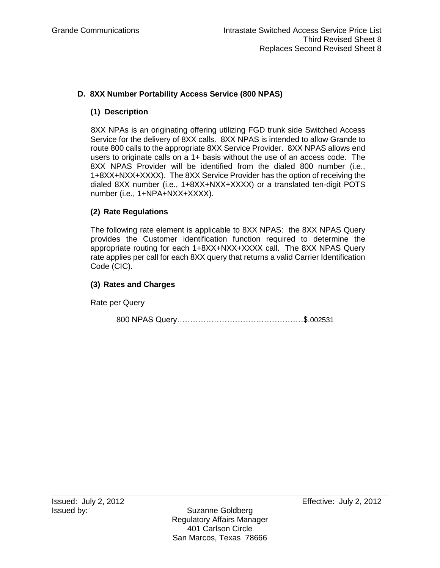## **D. 8XX Number Portability Access Service (800 NPAS)**

## **(1) Description**

 8XX NPAs is an originating offering utilizing FGD trunk side Switched Access Service for the delivery of 8XX calls. 8XX NPAS is intended to allow Grande to route 800 calls to the appropriate 8XX Service Provider. 8XX NPAS allows end users to originate calls on a 1+ basis without the use of an access code. The 8XX NPAS Provider will be identified from the dialed 800 number (i.e., 1+8XX+NXX+XXXX). The 8XX Service Provider has the option of receiving the dialed 8XX number (i.e., 1+8XX+NXX+XXXX) or a translated ten-digit POTS number (i.e., 1+NPA+NXX+XXXX).

## **(2) Rate Regulations**

The following rate element is applicable to 8XX NPAS: the 8XX NPAS Query provides the Customer identification function required to determine the appropriate routing for each 1+8XX+NXX+XXXX call. The 8XX NPAS Query rate applies per call for each 8XX query that returns a valid Carrier Identification Code (CIC).

## **(3) Rates and Charges**

Rate per Query

800 NPAS Query…………………………………………\$.002531

Issued by: Suzanne Goldberg Regulatory Affairs Manager 401 Carlson Circle San Marcos, Texas 78666

Issued: July 2, 2012 Effective: July 2, 2012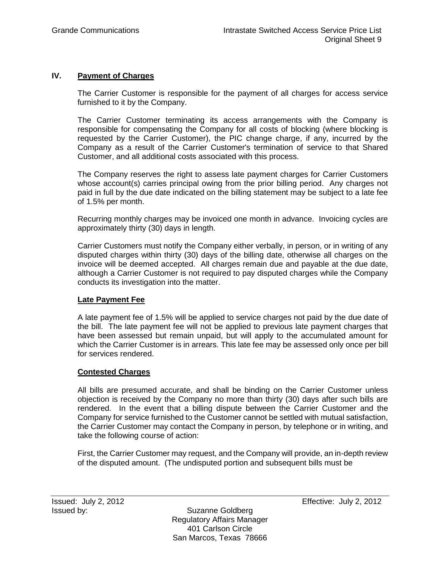### **IV. Payment of Charges**

The Carrier Customer is responsible for the payment of all charges for access service furnished to it by the Company.

The Carrier Customer terminating its access arrangements with the Company is responsible for compensating the Company for all costs of blocking (where blocking is requested by the Carrier Customer), the PIC change charge, if any, incurred by the Company as a result of the Carrier Customer's termination of service to that Shared Customer, and all additional costs associated with this process.

The Company reserves the right to assess late payment charges for Carrier Customers whose account(s) carries principal owing from the prior billing period. Any charges not paid in full by the due date indicated on the billing statement may be subject to a late fee of 1.5% per month.

Recurring monthly charges may be invoiced one month in advance. Invoicing cycles are approximately thirty (30) days in length.

Carrier Customers must notify the Company either verbally, in person, or in writing of any disputed charges within thirty (30) days of the billing date, otherwise all charges on the invoice will be deemed accepted. All charges remain due and payable at the due date, although a Carrier Customer is not required to pay disputed charges while the Company conducts its investigation into the matter.

### **Late Payment Fee**

A late payment fee of 1.5% will be applied to service charges not paid by the due date of the bill. The late payment fee will not be applied to previous late payment charges that have been assessed but remain unpaid, but will apply to the accumulated amount for which the Carrier Customer is in arrears. This late fee may be assessed only once per bill for services rendered.

### **Contested Charges**

All bills are presumed accurate, and shall be binding on the Carrier Customer unless objection is received by the Company no more than thirty (30) days after such bills are rendered. In the event that a billing dispute between the Carrier Customer and the Company for service furnished to the Customer cannot be settled with mutual satisfaction, the Carrier Customer may contact the Company in person, by telephone or in writing, and take the following course of action:

First, the Carrier Customer may request, and the Company will provide, an in-depth review of the disputed amount. (The undisputed portion and subsequent bills must be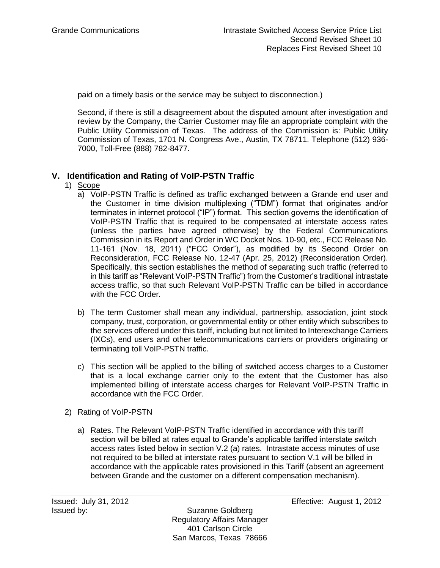paid on a timely basis or the service may be subject to disconnection.)

Second, if there is still a disagreement about the disputed amount after investigation and review by the Company, the Carrier Customer may file an appropriate complaint with the Public Utility Commission of Texas. The address of the Commission is: Public Utility Commission of Texas, 1701 N. Congress Ave., Austin, TX 78711. Telephone (512) 936- 7000, Toll-Free (888) 782-8477.

## **V. Identification and Rating of VoIP-PSTN Traffic**

- 1) Scope
	- a) VoIP-PSTN Traffic is defined as traffic exchanged between a Grande end user and the Customer in time division multiplexing ("TDM") format that originates and/or terminates in internet protocol ("IP") format. This section governs the identification of VoIP-PSTN Traffic that is required to be compensated at interstate access rates (unless the parties have agreed otherwise) by the Federal Communications Commission in its Report and Order in WC Docket Nos. 10-90, etc., FCC Release No. 11-161 (Nov. 18, 2011) ("FCC Order"), as modified by its Second Order on Reconsideration, FCC Release No. 12-47 (Apr. 25, 2012) (Reconsideration Order). Specifically, this section establishes the method of separating such traffic (referred to in this tariff as "Relevant VoIP-PSTN Traffic") from the Customer's traditional intrastate access traffic, so that such Relevant VoIP-PSTN Traffic can be billed in accordance with the FCC Order.
	- b) The term Customer shall mean any individual, partnership, association, joint stock company, trust, corporation, or governmental entity or other entity which subscribes to the services offered under this tariff, including but not limited to Interexchange Carriers (IXCs), end users and other telecommunications carriers or providers originating or terminating toll VoIP-PSTN traffic.
	- c) This section will be applied to the billing of switched access charges to a Customer that is a local exchange carrier only to the extent that the Customer has also implemented billing of interstate access charges for Relevant VoIP-PSTN Traffic in accordance with the FCC Order.

### 2) Rating of VoIP-PSTN

a) Rates. The Relevant VoIP-PSTN Traffic identified in accordance with this tariff section will be billed at rates equal to Grande's applicable tariffed interstate switch access rates listed below in section V.2 (a) rates. Intrastate access minutes of use not required to be billed at interstate rates pursuant to section V.1 will be billed in accordance with the applicable rates provisioned in this Tariff (absent an agreement between Grande and the customer on a different compensation mechanism).

Issued: July 31, 2012 Effective: August 1, 2012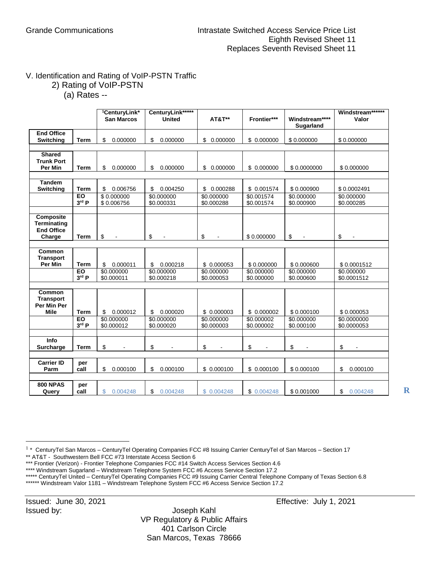## V. Identification and Rating of VoIP-PSTN Traffic 2) Rating of VoIP-PSTN

(a) Rates --

|                                                                 |                    | <sup>1</sup> CenturyLink*<br><b>San Marcos</b> | CenturyLink*****<br><b>United</b> | <b>AT&amp;T**</b>        | Frontier***              | Windstream****<br>Sugarland | Windstream******<br>Valor  |
|-----------------------------------------------------------------|--------------------|------------------------------------------------|-----------------------------------|--------------------------|--------------------------|-----------------------------|----------------------------|
| <b>End Office</b><br>Switching                                  | <b>Term</b>        | \$<br>0.000000                                 | \$<br>0.000000                    | \$0.000000               | \$0.000000               | \$0.000000                  | \$0.000000                 |
| <b>Shared</b>                                                   |                    |                                                |                                   |                          |                          |                             |                            |
| <b>Trunk Port</b><br><b>Per Min</b>                             | <b>Term</b>        | 0.000000<br>\$                                 | \$<br>0.000000                    | \$ 0.000000              | \$ 0.000000              | \$0.0000000                 | \$0.000000                 |
|                                                                 |                    |                                                |                                   |                          |                          |                             |                            |
| <b>Tandem</b><br>Switching                                      | <b>Term</b>        | \$<br>0.006756                                 | \$<br>0.004250                    | \$0.000288               | \$ 0.001574              | \$0.000900                  | \$0.0002491                |
|                                                                 | EO<br>3rd P        | \$0.000000<br>\$0.006756                       | \$0.000000<br>\$0.000331          | \$0.000000<br>\$0.000288 | \$0.001574<br>\$0.001574 | \$0.000000<br>\$0.000900    | \$0.000000<br>\$0.000285   |
| Composite<br>Terminating<br><b>End Office</b><br>Charge         | Term               | \$<br>$\blacksquare$                           | \$<br>$\blacksquare$              | \$<br>$\blacksquare$     | \$0.000000               | \$<br>ä,                    | \$<br>$\blacksquare$       |
| Common                                                          |                    |                                                |                                   |                          |                          |                             |                            |
| <b>Transport</b><br><b>Per Min</b>                              | <b>Term</b>        | 0.000011<br>\$                                 | 0.000218<br>\$                    | \$0.000053               | \$0.000000               | \$0.000600                  | \$0.0001512                |
|                                                                 | <b>EO</b><br>3rd P | \$0.000000<br>\$0.000011                       | \$0.000000<br>\$0.000218          | \$0.000000<br>\$0.000053 | \$0.000000<br>\$0.000000 | \$0.000000<br>\$0.000600    | \$0.000000<br>\$0.0001512  |
| <b>Common</b><br><b>Transport</b><br>Per Min Per<br><b>Mile</b> | <b>Term</b>        | 0.000012<br>\$                                 | 0.000020<br>\$                    | \$0.000003               | \$0.000002               | \$0.000100                  | \$0.000053                 |
|                                                                 | EO<br>$3rd$ P      | \$0.000000<br>\$0.000012                       | \$0.000000<br>\$0.000020          | \$0.000000<br>\$0.000003 | \$0.000002<br>\$0.000002 | \$0.000000<br>\$0.000100    | \$0.0000000<br>\$0.0000053 |
| Info<br>Surcharge                                               | <b>Term</b>        | \$                                             | \$                                | \$                       | \$                       | \$                          | \$                         |
| <b>Carrier ID</b><br>Parm                                       | per<br>call        | 0.000100<br>\$                                 | 0.000100<br>\$                    | \$0.000100               | \$ 0.000100              | \$0.000100                  | \$<br>0.000100             |
| <b>800 NPAS</b><br>Query                                        | per<br>call        | $\mathbb{S}$<br>0.004248                       | \$<br>0.004248                    | \$0.004248               | \$0.004248               | \$0.001000                  | \$0.004248                 |

**R**

\*\* AT&T - Southwestern Bell FCC #73 Interstate Access Section 6

 $\overline{a}$ 

<sup>&</sup>lt;sup>1</sup> \* CenturyTel San Marcos – CenturyTel Operating Companies FCC #8 Issuing Carrier CenturyTel of San Marcos – Section 17

<sup>\*\*\*</sup> Frontier (Verizon) - Frontier Telephone Companies FCC #14 Switch Access Services Section 4.6

<sup>\*\*\*\*</sup> Windstream Sugarland – Windstream Telephone System FCC #6 Access Service Section 17.2

<sup>\*\*\*\*\*</sup> CenturyTel United - CenturyTel Operating Companies FCC #9 Issuing Carrier Central Telephone Company of Texas Section 6.8

<sup>\*\*\*\*\*\*</sup> Windstream Valor 1181 – Windstream Telephone System FCC #6 Access Service Section 17.2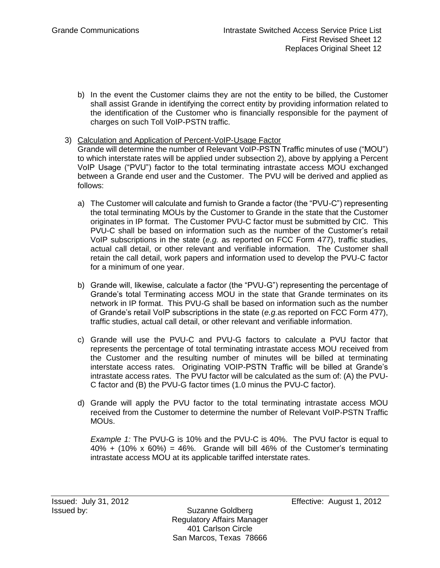- b) In the event the Customer claims they are not the entity to be billed, the Customer shall assist Grande in identifying the correct entity by providing information related to the identification of the Customer who is financially responsible for the payment of charges on such Toll VoIP-PSTN traffic.
- 3) Calculation and Application of Percent-VoIP-Usage Factor Grande will determine the number of Relevant VoIP-PSTN Traffic minutes of use ("MOU") to which interstate rates will be applied under subsection 2), above by applying a Percent VoIP Usage ("PVU") factor to the total terminating intrastate access MOU exchanged between a Grande end user and the Customer. The PVU will be derived and applied as follows:
	- a) The Customer will calculate and furnish to Grande a factor (the "PVU-C") representing the total terminating MOUs by the Customer to Grande in the state that the Customer originates in IP format. The Customer PVU-C factor must be submitted by CIC. This PVU-C shall be based on information such as the number of the Customer's retail VoIP subscriptions in the state (*e.g.* as reported on FCC Form 477), traffic studies, actual call detail, or other relevant and verifiable information. The Customer shall retain the call detail, work papers and information used to develop the PVU-C factor for a minimum of one year.
	- b) Grande will, likewise, calculate a factor (the "PVU-G") representing the percentage of Grande's total Terminating access MOU in the state that Grande terminates on its network in IP format. This PVU-G shall be based on information such as the number of Grande's retail VoIP subscriptions in the state (*e.g.*as reported on FCC Form 477), traffic studies, actual call detail, or other relevant and verifiable information.
	- c) Grande will use the PVU-C and PVU-G factors to calculate a PVU factor that represents the percentage of total terminating intrastate access MOU received from the Customer and the resulting number of minutes will be billed at terminating interstate access rates. Originating VOIP-PSTN Traffic will be billed at Grande's intrastate access rates. The PVU factor will be calculated as the sum of: (A) the PVU-C factor and (B) the PVU-G factor times (1.0 minus the PVU-C factor).
	- d) Grande will apply the PVU factor to the total terminating intrastate access MOU received from the Customer to determine the number of Relevant VoIP-PSTN Traffic MOUs.

*Example 1:* The PVU-G is 10% and the PVU-C is 40%. The PVU factor is equal to  $40\% + (10\% \times 60\%) = 46\%$ . Grande will bill 46% of the Customer's terminating intrastate access MOU at its applicable tariffed interstate rates.